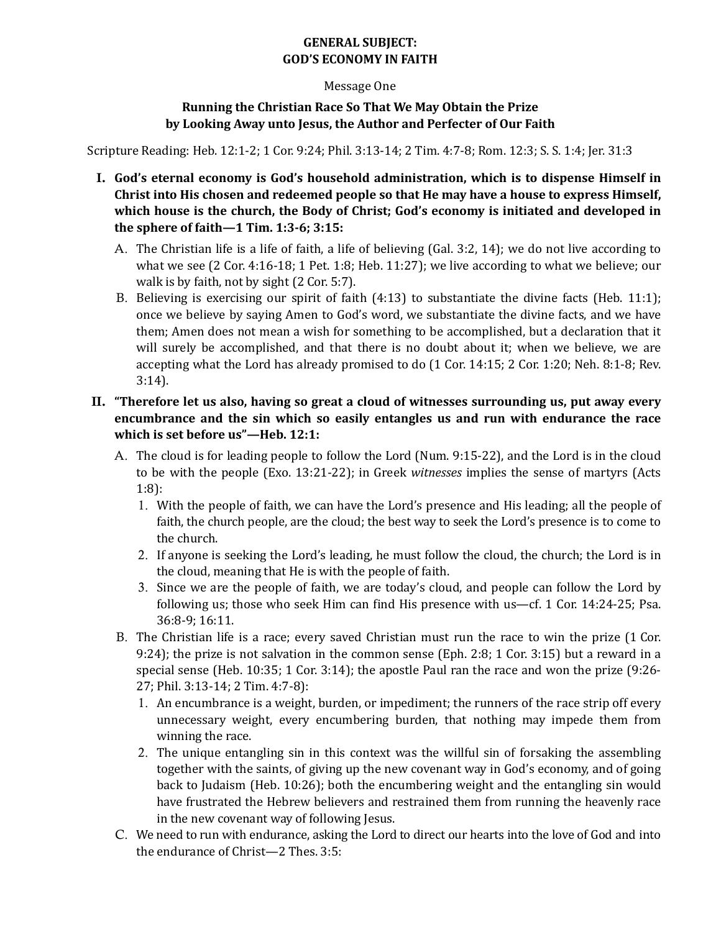# **GENERAL SUBJECT: GOD'S ECONOMY IN FAITH**

#### Message One

### **Running the Christian Race So That We May Obtain the Prize** by Looking Away unto Jesus, the Author and Perfecter of Our Faith

Scripture Reading: Heb. 12:1-2; 1 Cor. 9:24; Phil. 3:13-14; 2 Tim. 4:7-8; Rom. 12:3; S. S. 1:4; Jer. 31:3

- I. God's eternal economy is God's household administration, which is to dispense Himself in Christ into His chosen and redeemed people so that He may have a house to express Himself, which house is the church, the Body of Christ; God's economy is initiated and developed in **the sphere of faith—1 Tim. 1:3-6; 3:15:** 
	- A. The Christian life is a life of faith, a life of believing (Gal. 3:2, 14); we do not live according to what we see (2 Cor. 4:16-18; 1 Pet. 1:8; Heb. 11:27); we live according to what we believe; our walk is by faith, not by sight (2 Cor. 5:7).
	- B. Believing is exercising our spirit of faith  $(4:13)$  to substantiate the divine facts (Heb. 11:1); once we believe by saying Amen to God's word, we substantiate the divine facts, and we have them; Amen does not mean a wish for something to be accomplished, but a declaration that it will surely be accomplished, and that there is no doubt about it; when we believe, we are accepting what the Lord has already promised to do  $(1$  Cor. 14:15; 2 Cor. 1:20; Neh. 8:1-8; Rev. 3:14).

# II. "Therefore let us also, having so great a cloud of witnesses surrounding us, put away every **encumbrance and the sin which so easily entangles us and run with endurance the race** which is set before us"-Heb. 12:1:

- A. The cloud is for leading people to follow the Lord (Num. 9:15-22), and the Lord is in the cloud to be with the people (Exo. 13:21-22); in Greek *witnesses* implies the sense of martyrs (Acts 1:8):
	- 1. With the people of faith, we can have the Lord's presence and His leading; all the people of faith, the church people, are the cloud; the best way to seek the Lord's presence is to come to the church.
	- 2. If anyone is seeking the Lord's leading, he must follow the cloud, the church; the Lord is in the cloud, meaning that He is with the people of faith.
	- 3. Since we are the people of faith, we are today's cloud, and people can follow the Lord by following us; those who seek Him can find His presence with us—cf. 1 Cor.  $14:24-25$ ; Psa. 36:8-9; 16:11.
- B. The Christian life is a race; every saved Christian must run the race to win the prize (1 Cor. 9:24); the prize is not salvation in the common sense (Eph. 2:8; 1 Cor. 3:15) but a reward in a special sense (Heb.  $10:35$ ; 1 Cor.  $3:14$ ); the apostle Paul ran the race and won the prize  $(9:26$ -27; Phil. 3:13-14; 2 Tim. 4:7-8):
	- 1. An encumbrance is a weight, burden, or impediment; the runners of the race strip off every unnecessary weight, every encumbering burden, that nothing may impede them from winning the race.
	- 2. The unique entangling sin in this context was the willful sin of forsaking the assembling together with the saints, of giving up the new covenant way in God's economy, and of going back to Judaism (Heb. 10:26); both the encumbering weight and the entangling sin would have frustrated the Hebrew believers and restrained them from running the heavenly race in the new covenant way of following Jesus.
- C. We need to run with endurance, asking the Lord to direct our hearts into the love of God and into the endurance of Christ—2 Thes.  $3:5$ :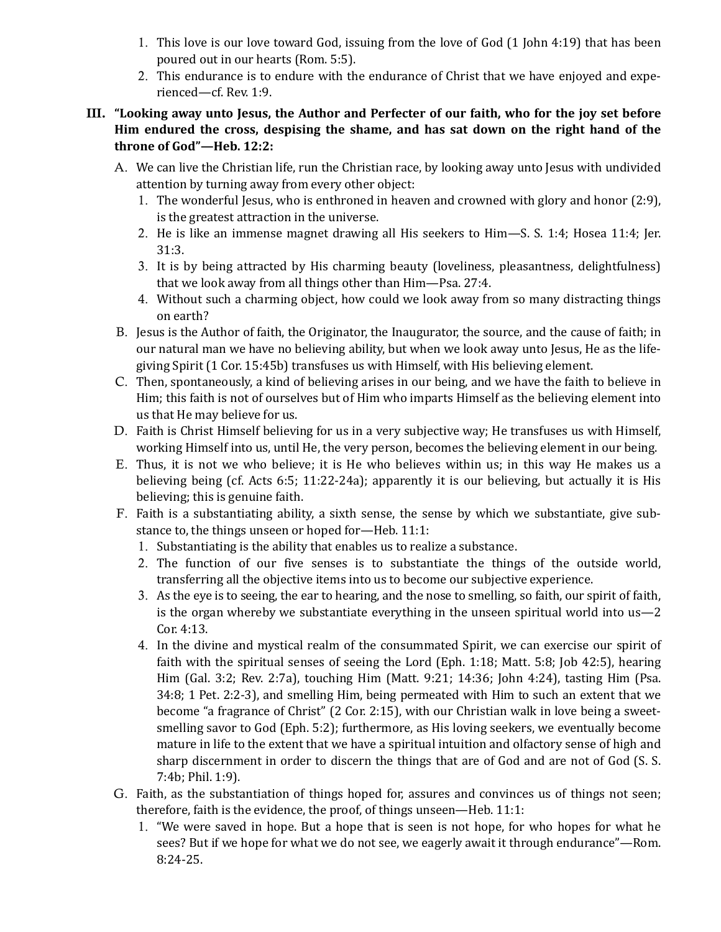- 1. This love is our love toward God, issuing from the love of God (1 John 4:19) that has been poured out in our hearts (Rom. 5:5).
- 2. This endurance is to endure with the endurance of Christ that we have enjoyed and experienced—cf. Rev. 1:9.

# III. "Looking away unto Jesus, the Author and Perfecter of our faith, who for the joy set before Him endured the cross, despising the shame, and has sat down on the right hand of the throne of God"-Heb. 12:2:

- A. We can live the Christian life, run the Christian race, by looking away unto Jesus with undivided attention by turning away from every other object:
	- 1. The wonderful Jesus, who is enthroned in heaven and crowned with glory and honor (2:9), is the greatest attraction in the universe.
	- 2. He is like an immense magnet drawing all His seekers to  $Him-S$ . S. 1:4; Hosea 11:4; Jer. 31:3.
	- 3. It is by being attracted by His charming beauty (loveliness, pleasantness, delightfulness) that we look away from all things other than Him—Psa. 27:4.
	- 4. Without such a charming object, how could we look away from so many distracting things on earth?
- B. Jesus is the Author of faith, the Originator, the Inaugurator, the source, and the cause of faith; in our natural man we have no believing ability, but when we look away unto Jesus, He as the lifegiving Spirit  $(1$  Cor. 15:45b) transfuses us with Himself, with His believing element.
- C. Then, spontaneously, a kind of believing arises in our being, and we have the faith to believe in Him; this faith is not of ourselves but of Him who imparts Himself as the believing element into us that He may believe for us.
- D. Faith is Christ Himself believing for us in a very subjective way; He transfuses us with Himself, working Himself into us, until He, the very person, becomes the believing element in our being.
- E. Thus, it is not we who believe; it is He who believes within us; in this way He makes us a believing being (cf. Acts  $6:5$ ; 11:22-24a); apparently it is our believing, but actually it is His believing; this is genuine faith.
- F. Faith is a substantiating ability, a sixth sense, the sense by which we substantiate, give substance to, the things unseen or hoped for-Heb. 11:1:
	- 1. Substantiating is the ability that enables us to realize a substance.
	- 2. The function of our five senses is to substantiate the things of the outside world, transferring all the objective items into us to become our subjective experience.
	- 3. As the eye is to seeing, the ear to hearing, and the nose to smelling, so faith, our spirit of faith, is the organ whereby we substantiate everything in the unseen spiritual world into  $us-2$ Cor. 4:13.
	- 4. In the divine and mystical realm of the consummated Spirit, we can exercise our spirit of faith with the spiritual senses of seeing the Lord (Eph. 1:18; Matt. 5:8; Job 42:5), hearing Him (Gal. 3:2; Rev. 2:7a), touching Him (Matt. 9:21; 14:36; John 4:24), tasting Him (Psa.  $34:8$ ; 1 Pet. 2:2-3), and smelling Him, being permeated with Him to such an extent that we become "a fragrance of Christ"  $(2 \text{ Cor. } 2:15)$ , with our Christian walk in love being a sweetsmelling savor to God (Eph. 5:2); furthermore, as His loving seekers, we eventually become mature in life to the extent that we have a spiritual intuition and olfactory sense of high and sharp discernment in order to discern the things that are of God and are not of God (S. S. 7:4b; Phil. 1:9).
- G. Faith, as the substantiation of things hoped for, assures and convinces us of things not seen; therefore, faith is the evidence, the proof, of things unseen—Heb.  $11:1$ :
	- 1. "We were saved in hope. But a hope that is seen is not hope, for who hopes for what he sees? But if we hope for what we do not see, we eagerly await it through endurance"—Rom. 8:24-25.